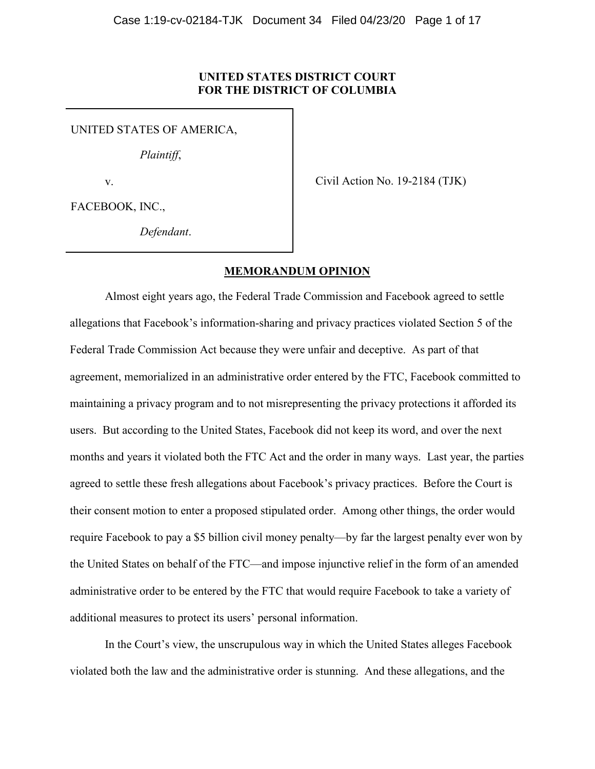## **UNITED STATES DISTRICT COURT FOR THE DISTRICT OF COLUMBIA**

UNITED STATES OF AMERICA,

*Plaintiff*,

v.

Civil Action No. 19-2184 (TJK)

FACEBOOK, INC.,

*Defendant*.

## **MEMORANDUM OPINION**

Almost eight years ago, the Federal Trade Commission and Facebook agreed to settle allegations that Facebook's information-sharing and privacy practices violated Section 5 of the Federal Trade Commission Act because they were unfair and deceptive. As part of that agreement, memorialized in an administrative order entered by the FTC, Facebook committed to maintaining a privacy program and to not misrepresenting the privacy protections it afforded its users. But according to the United States, Facebook did not keep its word, and over the next months and years it violated both the FTC Act and the order in many ways. Last year, the parties agreed to settle these fresh allegations about Facebook's privacy practices. Before the Court is their consent motion to enter a proposed stipulated order. Among other things, the order would require Facebook to pay a \$5 billion civil money penalty—by far the largest penalty ever won by the United States on behalf of the FTC—and impose injunctive relief in the form of an amended administrative order to be entered by the FTC that would require Facebook to take a variety of additional measures to protect its users' personal information.

In the Court's view, the unscrupulous way in which the United States alleges Facebook violated both the law and the administrative order is stunning. And these allegations, and the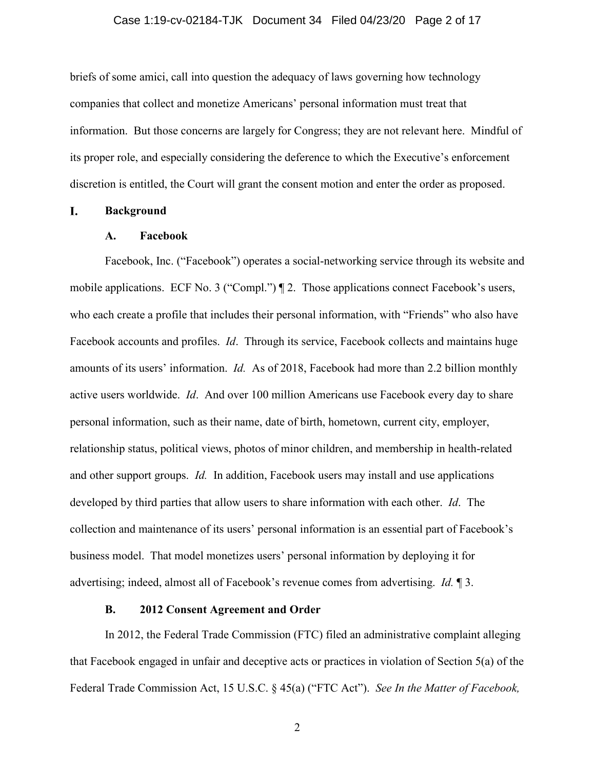## Case 1:19-cv-02184-TJK Document 34 Filed 04/23/20 Page 2 of 17

briefs of some amici, call into question the adequacy of laws governing how technology companies that collect and monetize Americans' personal information must treat that information. But those concerns are largely for Congress; they are not relevant here. Mindful of its proper role, and especially considering the deference to which the Executive's enforcement discretion is entitled, the Court will grant the consent motion and enter the order as proposed.

#### L. **Background**

## **A. Facebook**

Facebook, Inc. ("Facebook") operates a social-networking service through its website and mobile applications. ECF No. 3 ("Compl.")  $\P$  2. Those applications connect Facebook's users, who each create a profile that includes their personal information, with "Friends" who also have Facebook accounts and profiles. *Id*. Through its service, Facebook collects and maintains huge amounts of its users' information. *Id.* As of 2018, Facebook had more than 2.2 billion monthly active users worldwide. *Id*. And over 100 million Americans use Facebook every day to share personal information, such as their name, date of birth, hometown, current city, employer, relationship status, political views, photos of minor children, and membership in health-related and other support groups. *Id.* In addition, Facebook users may install and use applications developed by third parties that allow users to share information with each other. *Id*. The collection and maintenance of its users' personal information is an essential part of Facebook's business model. That model monetizes users' personal information by deploying it for advertising; indeed, almost all of Facebook's revenue comes from advertising. *Id.* ¶ 3.

## **B. 2012 Consent Agreement and Order**

In 2012, the Federal Trade Commission (FTC) filed an administrative complaint alleging that Facebook engaged in unfair and deceptive acts or practices in violation of Section 5(a) of the Federal Trade Commission Act, 15 U.S.C. § 45(a) ("FTC Act"). *See In the Matter of Facebook,*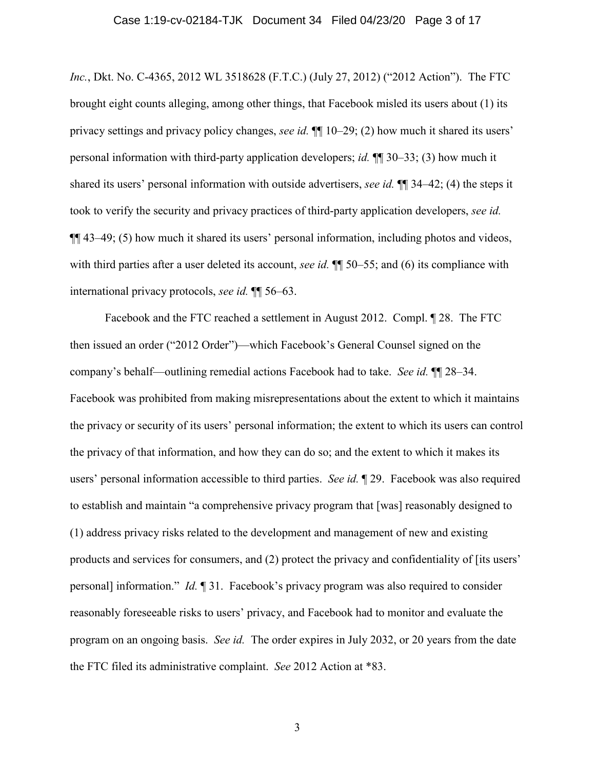### Case 1:19-cv-02184-TJK Document 34 Filed 04/23/20 Page 3 of 17

*Inc.*, Dkt. No. C-4365, 2012 WL 3518628 (F.T.C.) (July 27, 2012) ("2012 Action"). The FTC brought eight counts alleging, among other things, that Facebook misled its users about (1) its privacy settings and privacy policy changes, *see id.* ¶¶ 10–29; (2) how much it shared its users' personal information with third-party application developers; *id.* ¶¶ 30–33; (3) how much it shared its users' personal information with outside advertisers, *see id.* ¶¶ 34–42; (4) the steps it took to verify the security and privacy practices of third-party application developers, *see id.*  ¶¶ 43–49; (5) how much it shared its users' personal information, including photos and videos, with third parties after a user deleted its account, *see id*.  $\P$   $\Box$  50–55; and (6) its compliance with international privacy protocols, *see id.* ¶¶ 56–63.

Facebook and the FTC reached a settlement in August 2012. Compl. ¶ 28. The FTC then issued an order ("2012 Order")—which Facebook's General Counsel signed on the company's behalf—outlining remedial actions Facebook had to take. *See id.* ¶¶ 28–34. Facebook was prohibited from making misrepresentations about the extent to which it maintains the privacy or security of its users' personal information; the extent to which its users can control the privacy of that information, and how they can do so; and the extent to which it makes its users' personal information accessible to third parties. *See id.* ¶ 29. Facebook was also required to establish and maintain "a comprehensive privacy program that [was] reasonably designed to (1) address privacy risks related to the development and management of new and existing products and services for consumers, and (2) protect the privacy and confidentiality of [its users' personal] information." *Id.* ¶ 31. Facebook's privacy program was also required to consider reasonably foreseeable risks to users' privacy, and Facebook had to monitor and evaluate the program on an ongoing basis. *See id.* The order expires in July 2032, or 20 years from the date the FTC filed its administrative complaint. *See* 2012 Action at \*83.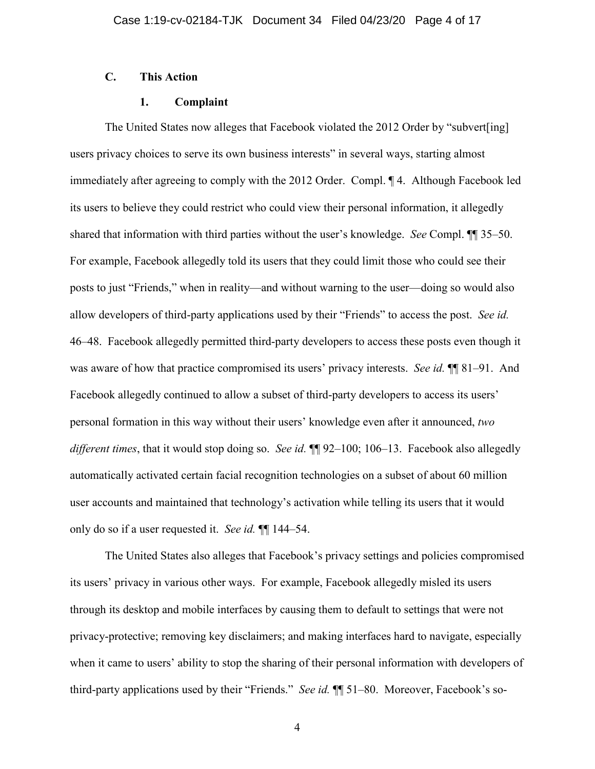# **C. This Action**

## **1. Complaint**

The United States now alleges that Facebook violated the 2012 Order by "subvert[ing] users privacy choices to serve its own business interests" in several ways, starting almost immediately after agreeing to comply with the 2012 Order. Compl. ¶ 4. Although Facebook led its users to believe they could restrict who could view their personal information, it allegedly shared that information with third parties without the user's knowledge. *See* Compl. ¶¶ 35–50. For example, Facebook allegedly told its users that they could limit those who could see their posts to just "Friends," when in reality—and without warning to the user—doing so would also allow developers of third-party applications used by their "Friends" to access the post. *See id.* 46–48. Facebook allegedly permitted third-party developers to access these posts even though it was aware of how that practice compromised its users' privacy interests. *See id.* ¶ 81–91. And Facebook allegedly continued to allow a subset of third-party developers to access its users' personal formation in this way without their users' knowledge even after it announced, *two different times*, that it would stop doing so. *See id.* ¶¶ 92–100; 106–13. Facebook also allegedly automatically activated certain facial recognition technologies on a subset of about 60 million user accounts and maintained that technology's activation while telling its users that it would only do so if a user requested it. *See id.* ¶¶ 144–54.

The United States also alleges that Facebook's privacy settings and policies compromised its users' privacy in various other ways. For example, Facebook allegedly misled its users through its desktop and mobile interfaces by causing them to default to settings that were not privacy-protective; removing key disclaimers; and making interfaces hard to navigate, especially when it came to users' ability to stop the sharing of their personal information with developers of third-party applications used by their "Friends." *See id.* ¶¶ 51–80. Moreover, Facebook's so-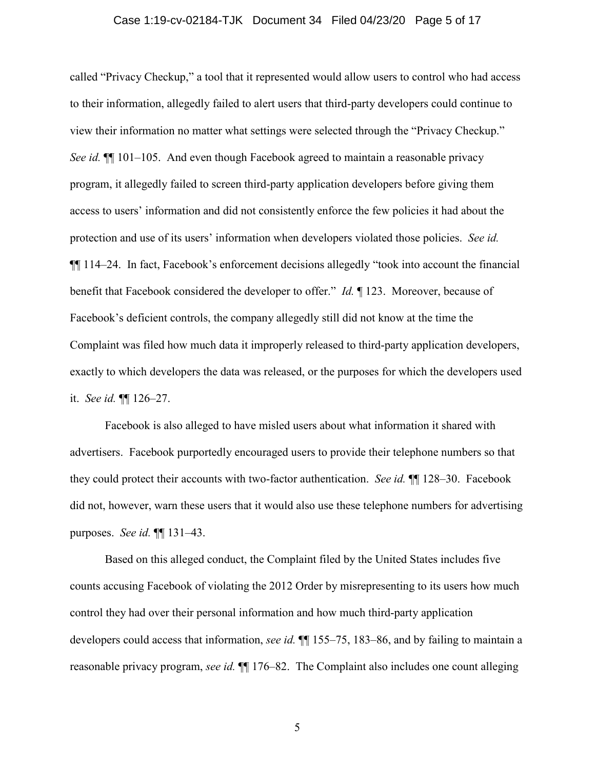## Case 1:19-cv-02184-TJK Document 34 Filed 04/23/20 Page 5 of 17

called "Privacy Checkup," a tool that it represented would allow users to control who had access to their information, allegedly failed to alert users that third-party developers could continue to view their information no matter what settings were selected through the "Privacy Checkup." *See id.*  $\P$  101–105. And even though Facebook agreed to maintain a reasonable privacy program, it allegedly failed to screen third-party application developers before giving them access to users' information and did not consistently enforce the few policies it had about the protection and use of its users' information when developers violated those policies. *See id.* ¶¶ 114–24. In fact, Facebook's enforcement decisions allegedly "took into account the financial benefit that Facebook considered the developer to offer." *Id.* ¶ 123. Moreover, because of Facebook's deficient controls, the company allegedly still did not know at the time the Complaint was filed how much data it improperly released to third-party application developers, exactly to which developers the data was released, or the purposes for which the developers used it. *See id.* ¶¶ 126–27.

Facebook is also alleged to have misled users about what information it shared with advertisers. Facebook purportedly encouraged users to provide their telephone numbers so that they could protect their accounts with two-factor authentication. *See id.* ¶¶ 128–30. Facebook did not, however, warn these users that it would also use these telephone numbers for advertising purposes. *See id.* ¶¶ 131–43.

Based on this alleged conduct, the Complaint filed by the United States includes five counts accusing Facebook of violating the 2012 Order by misrepresenting to its users how much control they had over their personal information and how much third-party application developers could access that information, *see id.* ¶¶ 155–75, 183–86, and by failing to maintain a reasonable privacy program, *see id.* ¶¶ 176–82. The Complaint also includes one count alleging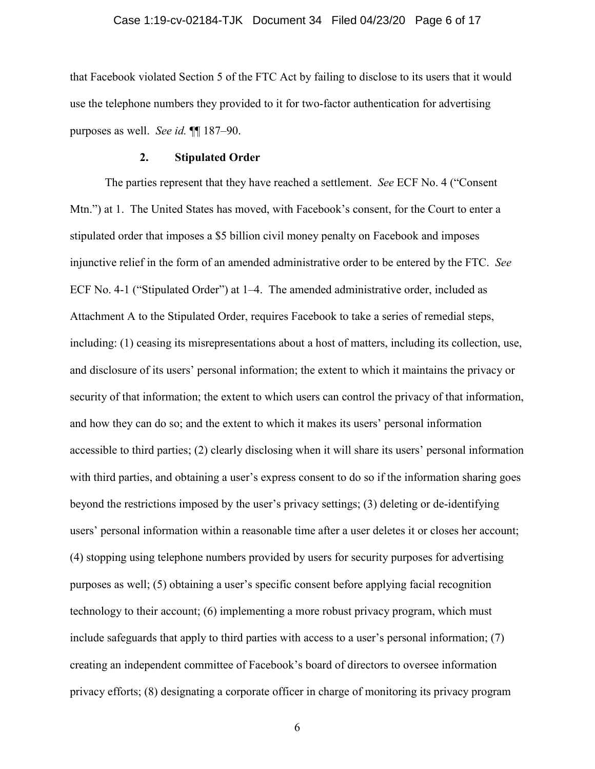## Case 1:19-cv-02184-TJK Document 34 Filed 04/23/20 Page 6 of 17

that Facebook violated Section 5 of the FTC Act by failing to disclose to its users that it would use the telephone numbers they provided to it for two-factor authentication for advertising purposes as well. *See id.* ¶¶ 187–90.

#### **2. Stipulated Order**

The parties represent that they have reached a settlement. *See* ECF No. 4 ("Consent Mtn.") at 1. The United States has moved, with Facebook's consent, for the Court to enter a stipulated order that imposes a \$5 billion civil money penalty on Facebook and imposes injunctive relief in the form of an amended administrative order to be entered by the FTC. *See*  ECF No. 4-1 ("Stipulated Order") at 1–4. The amended administrative order, included as Attachment A to the Stipulated Order, requires Facebook to take a series of remedial steps, including: (1) ceasing its misrepresentations about a host of matters, including its collection, use, and disclosure of its users' personal information; the extent to which it maintains the privacy or security of that information; the extent to which users can control the privacy of that information, and how they can do so; and the extent to which it makes its users' personal information accessible to third parties; (2) clearly disclosing when it will share its users' personal information with third parties, and obtaining a user's express consent to do so if the information sharing goes beyond the restrictions imposed by the user's privacy settings; (3) deleting or de-identifying users' personal information within a reasonable time after a user deletes it or closes her account; (4) stopping using telephone numbers provided by users for security purposes for advertising purposes as well; (5) obtaining a user's specific consent before applying facial recognition technology to their account; (6) implementing a more robust privacy program, which must include safeguards that apply to third parties with access to a user's personal information; (7) creating an independent committee of Facebook's board of directors to oversee information privacy efforts; (8) designating a corporate officer in charge of monitoring its privacy program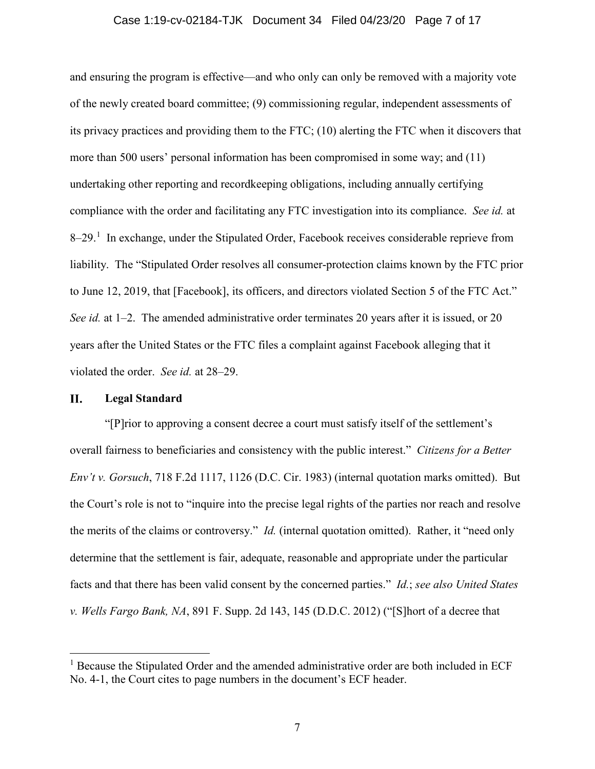## Case 1:19-cv-02184-TJK Document 34 Filed 04/23/20 Page 7 of 17

and ensuring the program is effective—and who only can only be removed with a majority vote of the newly created board committee; (9) commissioning regular, independent assessments of its privacy practices and providing them to the FTC; (10) alerting the FTC when it discovers that more than 500 users' personal information has been compromised in some way; and (11) undertaking other reporting and recordkeeping obligations, including annually certifying compliance with the order and facilitating any FTC investigation into its compliance. *See id.* at 8–29.<sup>[1](#page-6-0)</sup> In exchange, under the Stipulated Order, Facebook receives considerable reprieve from liability. The "Stipulated Order resolves all consumer-protection claims known by the FTC prior to June 12, 2019, that [Facebook], its officers, and directors violated Section 5 of the FTC Act." *See id.* at 1–2. The amended administrative order terminates 20 years after it is issued, or 20 years after the United States or the FTC files a complaint against Facebook alleging that it violated the order. *See id.* at 28–29.

#### II. **Legal Standard**

"[P]rior to approving a consent decree a court must satisfy itself of the settlement's overall fairness to beneficiaries and consistency with the public interest." *Citizens for a Better Env't v. Gorsuch*, 718 F.2d 1117, 1126 (D.C. Cir. 1983) (internal quotation marks omitted). But the Court's role is not to "inquire into the precise legal rights of the parties nor reach and resolve the merits of the claims or controversy." *Id.* (internal quotation omitted). Rather, it "need only determine that the settlement is fair, adequate, reasonable and appropriate under the particular facts and that there has been valid consent by the concerned parties." *Id.*; *see also United States v. Wells Fargo Bank, NA*, 891 F. Supp. 2d 143, 145 (D.D.C. 2012) ("[S]hort of a decree that

<span id="page-6-0"></span><sup>&</sup>lt;sup>1</sup> Because the Stipulated Order and the amended administrative order are both included in ECF No. 4-1, the Court cites to page numbers in the document's ECF header.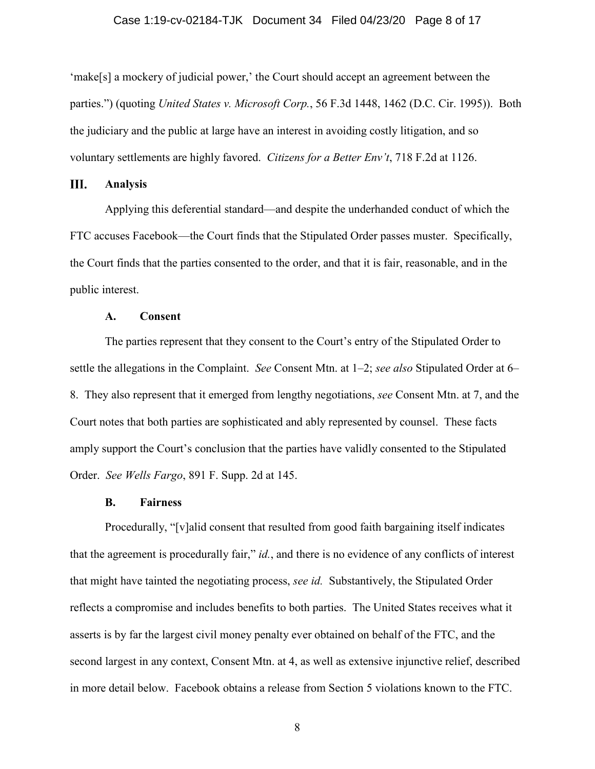## Case 1:19-cv-02184-TJK Document 34 Filed 04/23/20 Page 8 of 17

'make[s] a mockery of judicial power,' the Court should accept an agreement between the parties.") (quoting *United States v. Microsoft Corp.*, 56 F.3d 1448, 1462 (D.C. Cir. 1995)). Both the judiciary and the public at large have an interest in avoiding costly litigation, and so voluntary settlements are highly favored. *Citizens for a Better Env't*, 718 F.2d at 1126.

#### III. **Analysis**

Applying this deferential standard—and despite the underhanded conduct of which the FTC accuses Facebook—the Court finds that the Stipulated Order passes muster. Specifically, the Court finds that the parties consented to the order, and that it is fair, reasonable, and in the public interest.

## **A. Consent**

The parties represent that they consent to the Court's entry of the Stipulated Order to settle the allegations in the Complaint. *See* Consent Mtn. at 1–2; *see also* Stipulated Order at 6– 8. They also represent that it emerged from lengthy negotiations, *see* Consent Mtn. at 7, and the Court notes that both parties are sophisticated and ably represented by counsel. These facts amply support the Court's conclusion that the parties have validly consented to the Stipulated Order. *See Wells Fargo*, 891 F. Supp. 2d at 145.

## **B. Fairness**

Procedurally, "[v]alid consent that resulted from good faith bargaining itself indicates that the agreement is procedurally fair," *id.*, and there is no evidence of any conflicts of interest that might have tainted the negotiating process, *see id.* Substantively, the Stipulated Order reflects a compromise and includes benefits to both parties. The United States receives what it asserts is by far the largest civil money penalty ever obtained on behalf of the FTC, and the second largest in any context, Consent Mtn. at 4, as well as extensive injunctive relief, described in more detail below. Facebook obtains a release from Section 5 violations known to the FTC.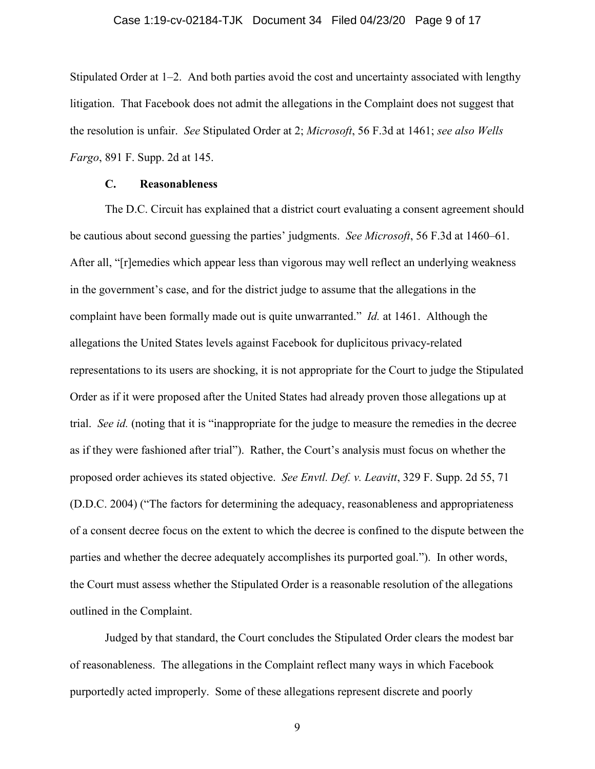## Case 1:19-cv-02184-TJK Document 34 Filed 04/23/20 Page 9 of 17

Stipulated Order at 1–2. And both parties avoid the cost and uncertainty associated with lengthy litigation. That Facebook does not admit the allegations in the Complaint does not suggest that the resolution is unfair. *See* Stipulated Order at 2; *Microsoft*, 56 F.3d at 1461; *see also Wells Fargo*, 891 F. Supp. 2d at 145.

## **C. Reasonableness**

The D.C. Circuit has explained that a district court evaluating a consent agreement should be cautious about second guessing the parties' judgments. *See Microsoft*, 56 F.3d at 1460–61. After all, "[r]emedies which appear less than vigorous may well reflect an underlying weakness in the government's case, and for the district judge to assume that the allegations in the complaint have been formally made out is quite unwarranted." *Id.* at 1461. Although the allegations the United States levels against Facebook for duplicitous privacy-related representations to its users are shocking, it is not appropriate for the Court to judge the Stipulated Order as if it were proposed after the United States had already proven those allegations up at trial. *See id.* (noting that it is "inappropriate for the judge to measure the remedies in the decree as if they were fashioned after trial"). Rather, the Court's analysis must focus on whether the proposed order achieves its stated objective. *See Envtl. Def. v. Leavitt*, 329 F. Supp. 2d 55, 71 (D.D.C. 2004) ("The factors for determining the adequacy, reasonableness and appropriateness of a consent decree focus on the extent to which the decree is confined to the dispute between the parties and whether the decree adequately accomplishes its purported goal."). In other words, the Court must assess whether the Stipulated Order is a reasonable resolution of the allegations outlined in the Complaint.

Judged by that standard, the Court concludes the Stipulated Order clears the modest bar of reasonableness. The allegations in the Complaint reflect many ways in which Facebook purportedly acted improperly. Some of these allegations represent discrete and poorly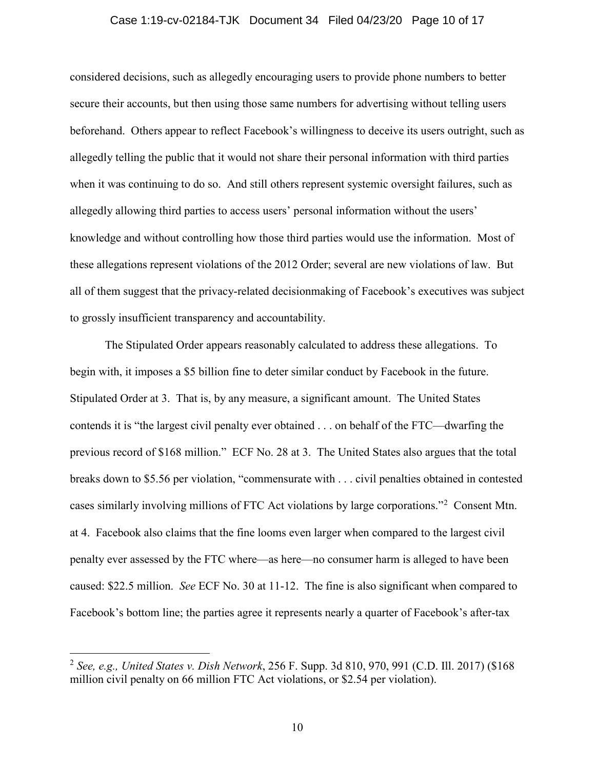## Case 1:19-cv-02184-TJK Document 34 Filed 04/23/20 Page 10 of 17

considered decisions, such as allegedly encouraging users to provide phone numbers to better secure their accounts, but then using those same numbers for advertising without telling users beforehand. Others appear to reflect Facebook's willingness to deceive its users outright, such as allegedly telling the public that it would not share their personal information with third parties when it was continuing to do so. And still others represent systemic oversight failures, such as allegedly allowing third parties to access users' personal information without the users' knowledge and without controlling how those third parties would use the information. Most of these allegations represent violations of the 2012 Order; several are new violations of law. But all of them suggest that the privacy-related decisionmaking of Facebook's executives was subject to grossly insufficient transparency and accountability.

The Stipulated Order appears reasonably calculated to address these allegations. To begin with, it imposes a \$5 billion fine to deter similar conduct by Facebook in the future. Stipulated Order at 3. That is, by any measure, a significant amount. The United States contends it is "the largest civil penalty ever obtained . . . on behalf of the FTC—dwarfing the previous record of \$168 million." ECF No. 28 at 3. The United States also argues that the total breaks down to \$5.56 per violation, "commensurate with . . . civil penalties obtained in contested cases similarly involving millions of FTC Act violations by large corporations."<sup>[2](#page-9-0)</sup> Consent Mtn. at 4. Facebook also claims that the fine looms even larger when compared to the largest civil penalty ever assessed by the FTC where—as here—no consumer harm is alleged to have been caused: \$22.5 million. *See* ECF No. 30 at 11-12. The fine is also significant when compared to Facebook's bottom line; the parties agree it represents nearly a quarter of Facebook's after-tax

<span id="page-9-0"></span> <sup>2</sup> *See, e.g., United States v. Dish Network*, 256 F. Supp. 3d 810, 970, 991 (C.D. Ill. 2017) (\$168 million civil penalty on 66 million FTC Act violations, or \$2.54 per violation).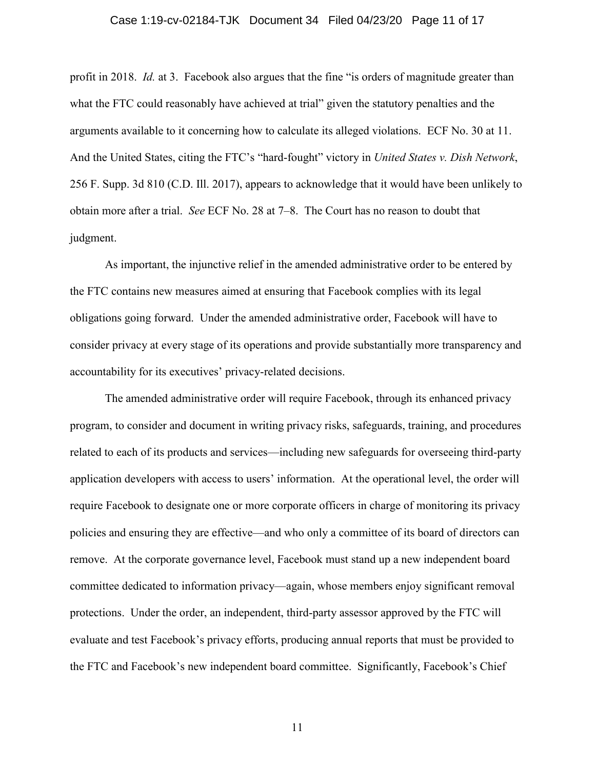## Case 1:19-cv-02184-TJK Document 34 Filed 04/23/20 Page 11 of 17

profit in 2018. *Id.* at 3. Facebook also argues that the fine "is orders of magnitude greater than what the FTC could reasonably have achieved at trial" given the statutory penalties and the arguments available to it concerning how to calculate its alleged violations. ECF No. 30 at 11. And the United States, citing the FTC's "hard-fought" victory in *United States v. Dish Network*, 256 F. Supp. 3d 810 (C.D. Ill. 2017), appears to acknowledge that it would have been unlikely to obtain more after a trial. *See* ECF No. 28 at 7–8. The Court has no reason to doubt that judgment.

As important, the injunctive relief in the amended administrative order to be entered by the FTC contains new measures aimed at ensuring that Facebook complies with its legal obligations going forward. Under the amended administrative order, Facebook will have to consider privacy at every stage of its operations and provide substantially more transparency and accountability for its executives' privacy-related decisions.

The amended administrative order will require Facebook, through its enhanced privacy program, to consider and document in writing privacy risks, safeguards, training, and procedures related to each of its products and services—including new safeguards for overseeing third-party application developers with access to users' information. At the operational level, the order will require Facebook to designate one or more corporate officers in charge of monitoring its privacy policies and ensuring they are effective—and who only a committee of its board of directors can remove. At the corporate governance level, Facebook must stand up a new independent board committee dedicated to information privacy—again, whose members enjoy significant removal protections. Under the order, an independent, third-party assessor approved by the FTC will evaluate and test Facebook's privacy efforts, producing annual reports that must be provided to the FTC and Facebook's new independent board committee. Significantly, Facebook's Chief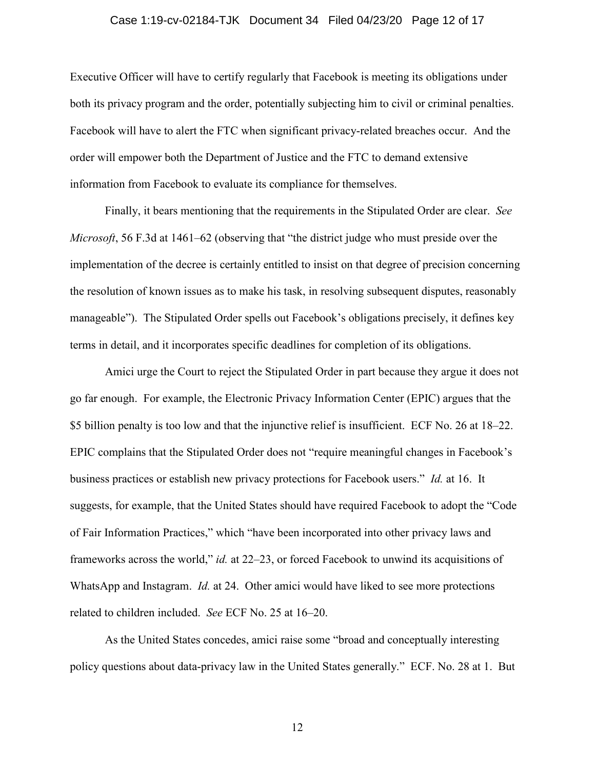### Case 1:19-cv-02184-TJK Document 34 Filed 04/23/20 Page 12 of 17

Executive Officer will have to certify regularly that Facebook is meeting its obligations under both its privacy program and the order, potentially subjecting him to civil or criminal penalties. Facebook will have to alert the FTC when significant privacy-related breaches occur. And the order will empower both the Department of Justice and the FTC to demand extensive information from Facebook to evaluate its compliance for themselves.

Finally, it bears mentioning that the requirements in the Stipulated Order are clear. *See Microsoft*, 56 F.3d at 1461–62 (observing that "the district judge who must preside over the implementation of the decree is certainly entitled to insist on that degree of precision concerning the resolution of known issues as to make his task, in resolving subsequent disputes, reasonably manageable"). The Stipulated Order spells out Facebook's obligations precisely, it defines key terms in detail, and it incorporates specific deadlines for completion of its obligations.

Amici urge the Court to reject the Stipulated Order in part because they argue it does not go far enough. For example, the Electronic Privacy Information Center (EPIC) argues that the \$5 billion penalty is too low and that the injunctive relief is insufficient. ECF No. 26 at 18–22. EPIC complains that the Stipulated Order does not "require meaningful changes in Facebook's business practices or establish new privacy protections for Facebook users." *Id.* at 16. It suggests, for example, that the United States should have required Facebook to adopt the "Code of Fair Information Practices," which "have been incorporated into other privacy laws and frameworks across the world," *id.* at 22–23, or forced Facebook to unwind its acquisitions of WhatsApp and Instagram. *Id.* at 24. Other amici would have liked to see more protections related to children included. *See* ECF No. 25 at 16–20.

As the United States concedes, amici raise some "broad and conceptually interesting policy questions about data-privacy law in the United States generally." ECF. No. 28 at 1. But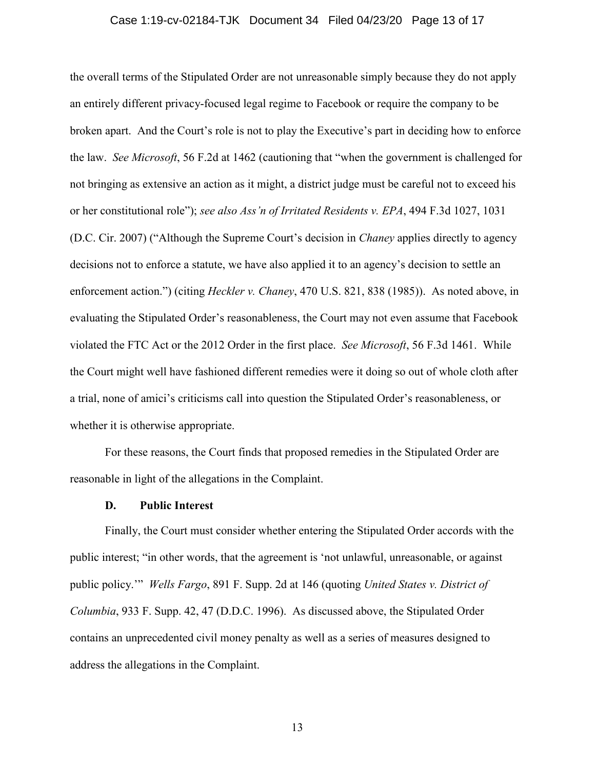### Case 1:19-cv-02184-TJK Document 34 Filed 04/23/20 Page 13 of 17

the overall terms of the Stipulated Order are not unreasonable simply because they do not apply an entirely different privacy-focused legal regime to Facebook or require the company to be broken apart. And the Court's role is not to play the Executive's part in deciding how to enforce the law. *See Microsoft*, 56 F.2d at 1462 (cautioning that "when the government is challenged for not bringing as extensive an action as it might, a district judge must be careful not to exceed his or her constitutional role"); *see also Ass'n of Irritated Residents v. EPA*, 494 F.3d 1027, 1031 (D.C. Cir. 2007) ("Although the Supreme Court's decision in *Chaney* applies directly to agency decisions not to enforce a statute, we have also applied it to an agency's decision to settle an enforcement action.") (citing *Heckler v. Chaney*, 470 U.S. 821, 838 (1985)). As noted above, in evaluating the Stipulated Order's reasonableness, the Court may not even assume that Facebook violated the FTC Act or the 2012 Order in the first place. *See Microsoft*, 56 F.3d 1461. While the Court might well have fashioned different remedies were it doing so out of whole cloth after a trial, none of amici's criticisms call into question the Stipulated Order's reasonableness, or whether it is otherwise appropriate.

For these reasons, the Court finds that proposed remedies in the Stipulated Order are reasonable in light of the allegations in the Complaint.

## **D. Public Interest**

Finally, the Court must consider whether entering the Stipulated Order accords with the public interest; "in other words, that the agreement is 'not unlawful, unreasonable, or against public policy.'" *Wells Fargo*, 891 F. Supp. 2d at 146 (quoting *United States v. District of Columbia*, 933 F. Supp. 42, 47 (D.D.C. 1996). As discussed above, the Stipulated Order contains an unprecedented civil money penalty as well as a series of measures designed to address the allegations in the Complaint.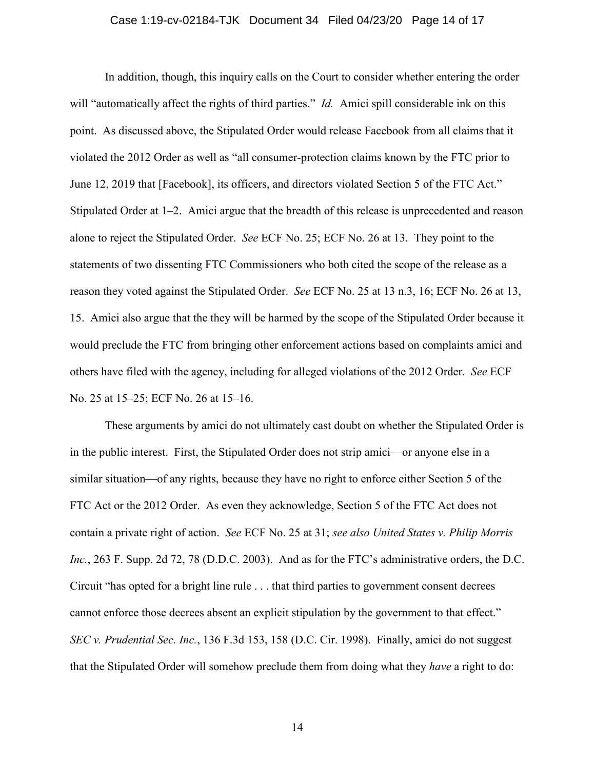## Case 1:19-cv-02184-TJK Document 34 Filed 04/23/20 Page 14 of 17

In addition, though, this inquiry calls on the Court to consider whether entering the order will "automatically affect the rights of third parties." *Id.* Amici spill considerable ink on this point. As discussed above, the Stipulated Order would release Facebook from all claims that it violated the 2012 Order as well as "all consumer-protection claims known by the FTC prior to June 12, 2019 that [Facebook], its officers, and directors violated Section 5 of the FTC Act." Stipulated Order at 1–2. Amici argue that the breadth of this release is unprecedented and reason alone to reject the Stipulated Order. *See* ECF No. 25; ECF No. 26 at 13. They point to the statements of two dissenting FTC Commissioners who both cited the scope of the release as a reason they voted against the Stipulated Order. *See* ECF No. 25 at 13 n.3, 16; ECF No. 26 at 13, 15. Amici also argue that the they will be harmed by the scope of the Stipulated Order because it would preclude the FTC from bringing other enforcement actions based on complaints amici and others have filed with the agency, including for alleged violations of the 2012 Order. *See* ECF No. 25 at 15–25; ECF No. 26 at 15–16.

These arguments by amici do not ultimately cast doubt on whether the Stipulated Order is in the public interest. First, the Stipulated Order does not strip amici—or anyone else in a similar situation—of any rights, because they have no right to enforce either Section 5 of the FTC Act or the 2012 Order. As even they acknowledge, Section 5 of the FTC Act does not contain a private right of action. *See* ECF No. 25 at 31; *see also United States v. Philip Morris Inc.*, 263 F. Supp. 2d 72, 78 (D.D.C. 2003). And as for the FTC's administrative orders, the D.C. Circuit "has opted for a bright line rule . . . that third parties to government consent decrees cannot enforce those decrees absent an explicit stipulation by the government to that effect." *SEC v. Prudential Sec. Inc.*, 136 F.3d 153, 158 (D.C. Cir. 1998). Finally, amici do not suggest that the Stipulated Order will somehow preclude them from doing what they *have* a right to do: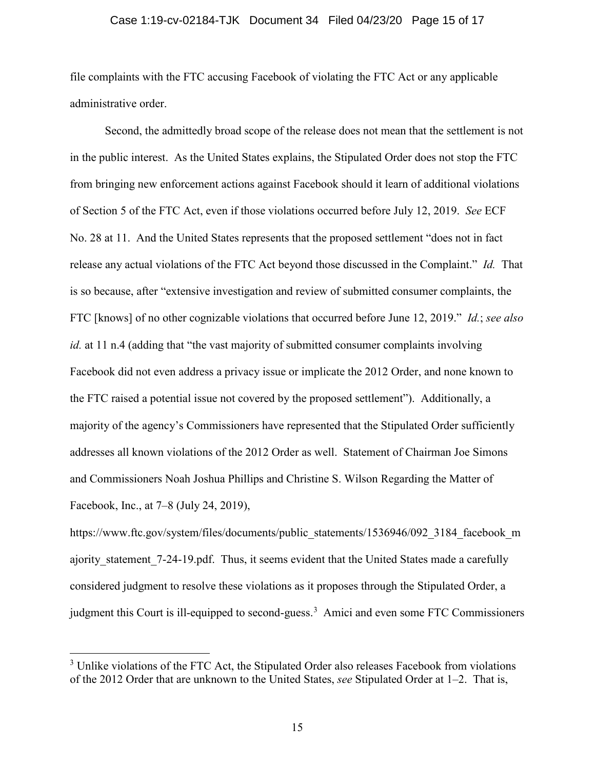## Case 1:19-cv-02184-TJK Document 34 Filed 04/23/20 Page 15 of 17

file complaints with the FTC accusing Facebook of violating the FTC Act or any applicable administrative order.

Second, the admittedly broad scope of the release does not mean that the settlement is not in the public interest. As the United States explains, the Stipulated Order does not stop the FTC from bringing new enforcement actions against Facebook should it learn of additional violations of Section 5 of the FTC Act, even if those violations occurred before July 12, 2019. *See* ECF No. 28 at 11. And the United States represents that the proposed settlement "does not in fact release any actual violations of the FTC Act beyond those discussed in the Complaint." *Id.* That is so because, after "extensive investigation and review of submitted consumer complaints, the FTC [knows] of no other cognizable violations that occurred before June 12, 2019." *Id.*; *see also id.* at 11 n.4 (adding that "the vast majority of submitted consumer complaints involving Facebook did not even address a privacy issue or implicate the 2012 Order, and none known to the FTC raised a potential issue not covered by the proposed settlement"). Additionally, a majority of the agency's Commissioners have represented that the Stipulated Order sufficiently addresses all known violations of the 2012 Order as well. Statement of Chairman Joe Simons and Commissioners Noah Joshua Phillips and Christine S. Wilson Regarding the Matter of Facebook, Inc., at 7–8 (July 24, 2019),

https://www.ftc.gov/system/files/documents/public\_statements/1536946/092\_3184\_facebook\_m ajority statement 7-24-19.pdf. Thus, it seems evident that the United States made a carefully considered judgment to resolve these violations as it proposes through the Stipulated Order, a judgment this Court is ill-equipped to second-guess.<sup>[3](#page-14-0)</sup> Amici and even some FTC Commissioners

<span id="page-14-0"></span><sup>&</sup>lt;sup>3</sup> Unlike violations of the FTC Act, the Stipulated Order also releases Facebook from violations of the 2012 Order that are unknown to the United States, *see* Stipulated Order at 1–2. That is,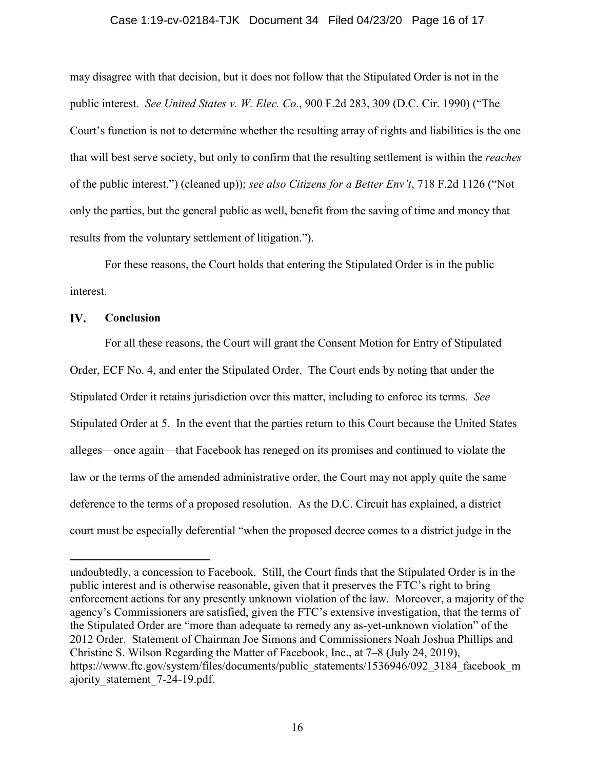## Case 1:19-cv-02184-TJK Document 34 Filed 04/23/20 Page 16 of 17

may disagree with that decision, but it does not follow that the Stipulated Order is not in the public interest. *See United States v. W. Elec. Co.*, 900 F.2d 283, 309 (D.C. Cir. 1990) ("The Court's function is not to determine whether the resulting array of rights and liabilities is the one that will best serve society, but only to confirm that the resulting settlement is within the *reaches* of the public interest.") (cleaned up)); *see also Citizens for a Better Env't*, 718 F.2d 1126 ("Not only the parties, but the general public as well, benefit from the saving of time and money that results from the voluntary settlement of litigation.").

For these reasons, the Court holds that entering the Stipulated Order is in the public interest.

#### IV. **Conclusion**

 $\overline{a}$ 

For all these reasons, the Court will grant the Consent Motion for Entry of Stipulated Order, ECF No. 4, and enter the Stipulated Order. The Court ends by noting that under the Stipulated Order it retains jurisdiction over this matter, including to enforce its terms. *See*  Stipulated Order at 5. In the event that the parties return to this Court because the United States alleges—once again—that Facebook has reneged on its promises and continued to violate the law or the terms of the amended administrative order, the Court may not apply quite the same deference to the terms of a proposed resolution. As the D.C. Circuit has explained, a district court must be especially deferential "when the proposed decree comes to a district judge in the

undoubtedly, a concession to Facebook. Still, the Court finds that the Stipulated Order is in the public interest and is otherwise reasonable, given that it preserves the FTC's right to bring enforcement actions for any presently unknown violation of the law. Moreover, a majority of the agency's Commissioners are satisfied, given the FTC's extensive investigation, that the terms of the Stipulated Order are "more than adequate to remedy any as-yet-unknown violation" of the 2012 Order. Statement of Chairman Joe Simons and Commissioners Noah Joshua Phillips and Christine S. Wilson Regarding the Matter of Facebook, Inc., at 7–8 (July 24, 2019), https://www.ftc.gov/system/files/documents/public\_statements/1536946/092\_3184\_facebook\_m ajority\_statement\_7-24-19.pdf.